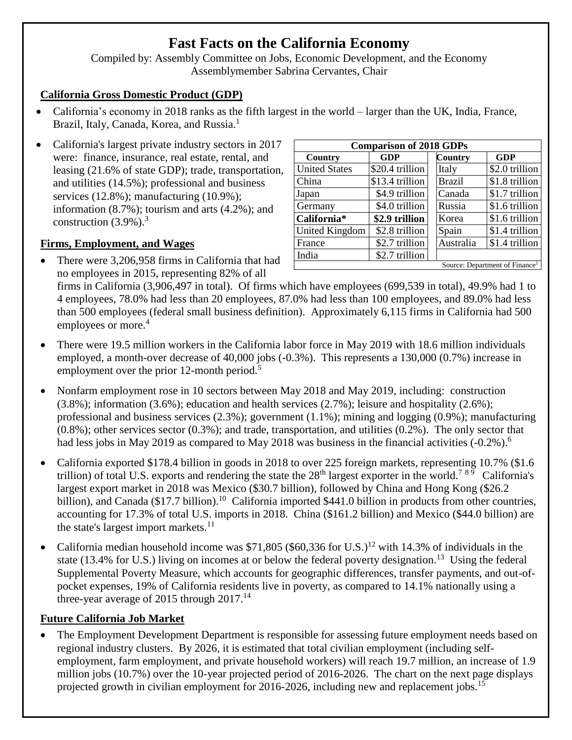# **Fast Facts on the California Economy**

Compiled by: Assembly Committee on Jobs, Economic Development, and the Economy Assemblymember Sabrina Cervantes, Chair

### **California Gross Domestic Product (GDP)**

- California's economy in 2018 ranks as the fifth largest in the world larger than the UK, India, France, Brazil, Italy, Canada, Korea, and Russia.<sup>1</sup>
- California's largest private industry sectors in 2017 were: finance, insurance, real estate, rental, and leasing (21.6% of state GDP); trade, transportation, and utilities (14.5%); professional and business services (12.8%); manufacturing (10.9%); information (8.7%); tourism and arts (4.2%); and construction  $(3.9\%)$ .<sup>3</sup>

### **Firms, Employment, and Wages**

**Comparison of 2018 GDPs Country GDP Country GDP** United States  $\begin{vmatrix} $20.4 \text{ trillion} \end{vmatrix}$  Italy  $\begin{vmatrix} $2.0 \text{ trillion} \end{vmatrix}$  $\chi$  -  $\chi$  -  $\chi$  -  $\chi$   $\chi$  -  $\chi$  -  $\chi$  -  $\chi$  -  $\chi$  -  $\chi$  -  $\chi$  -  $\chi$  -  $\chi$  -  $\chi$  -  $\chi$  -  $\chi$  -  $\chi$  -  $\chi$  -  $\chi$  -  $\chi$  -  $\chi$  -  $\chi$  -  $\chi$  -  $\chi$  -  $\chi$  -  $\chi$  -  $\chi$  -  $\chi$  -  $\chi$  -  $\chi$  -  $\chi$  -  $\chi$  -3 – Japan \$4.9 trillion11 Canada \$1.7 trillion  $Germany$  | \$4.0 trillion | Russia | \$1.6 trillion **California\* \$2.9 trillion** | Korea \$1.6 trillion United Kingdom  $\left| \begin{array}{c} 1.8 \\ 2.8 \end{array} \right|$   $\left| \begin{array}{c} 1.4 \\ 1.4 \end{array} \right|$  strillion France  $\left| \frac{2.7 \text{ trillion}}{\text{Australian}} \right|$   $\left| \frac{1}{1.4 \text{ trillion}} \right|$ India  $\frac{1}{2}$  \$2.7 trillion

• There were 3,206,958 firms in California that had no employees in 2015, representing 82% of all

Source: Department of Finance<sup>2</sup>

firms in California (3,906,497 in total). Of firms which have employees (699,539 in total), 49.9% had 1 to 4 employees, 78.0% had less than 20 employees, 87.0% had less than 100 employees, and 89.0% had less than 500 employees (federal small business definition). Approximately 6,115 firms in California had 500 employees or more.<sup>4</sup>

- There were 19.5 million workers in the California labor force in May 2019 with 18.6 million individuals employed, a month-over decrease of 40,000 jobs (-0.3%). This represents a 130,000 (0.7%) increase in employment over the prior 12-month period.<sup>5</sup>
- Nonfarm employment rose in 10 sectors between May 2018 and May 2019, including: construction (3.8%); information (3.6%); education and health services (2.7%); leisure and hospitality (2.6%); professional and business services (2.3%); government (1.1%); mining and logging (0.9%); manufacturing (0.8%); other services sector (0.3%); and trade, transportation, and utilities (0.2%). The only sector that had less jobs in May 2019 as compared to May 2018 was business in the financial activities (-0.2%).<sup>6</sup>
- California exported \$178.4 billion in goods in 2018 to over 225 foreign markets, representing 10.7% (\$1.6) trillion) of total U.S. exports and rendering the state the  $28<sup>th</sup>$  largest exporter in the world.<sup>789</sup> California's largest export market in 2018 was Mexico (\$30.7 billion), followed by China and Hong Kong (\$26.2 billion), and Canada (\$17.7 billion).<sup>10</sup> California imported \$441.0 billion in products from other countries, accounting for 17.3% of total U.S. imports in 2018. China (\$161.2 billion) and Mexico (\$44.0 billion) are the state's largest import markets. $11$
- California median household income was \$71,805 (\$60,336 for U.S.)<sup>12</sup> with 14.3% of individuals in the state (13.4% for U.S.) living on incomes at or below the federal poverty designation.<sup>13</sup> Using the federal Supplemental Poverty Measure, which accounts for geographic differences, transfer payments, and out-ofpocket expenses, 19% of California residents live in poverty, as compared to 14.1% nationally using a three-year average of 2015 through  $2017$ .<sup>14</sup>

## **Future California Job Market**

• The Employment Development Department is responsible for assessing future employment needs based on regional industry clusters. By 2026, it is estimated that total civilian employment (including selfemployment, farm employment, and private household workers) will reach 19.7 million, an increase of 1.9 million jobs (10.7%) over the 10-year projected period of 2016-2026. The chart on the next page displays projected growth in civilian employment for 2016-2026, including new and replacement jobs.<sup>15</sup>